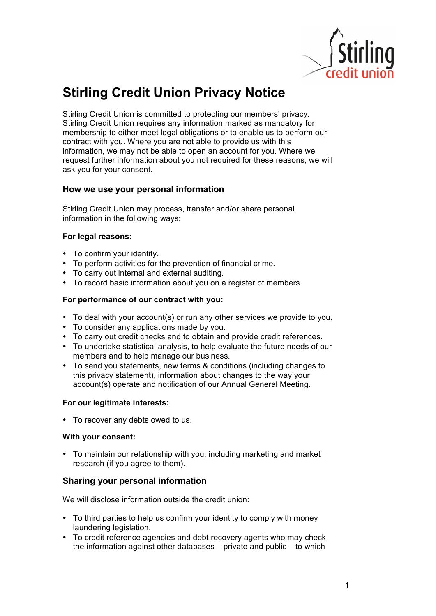

# **Stirling Credit Union Privacy Notice**

Stirling Credit Union is committed to protecting our members' privacy. Stirling Credit Union requires any information marked as mandatory for membership to either meet legal obligations or to enable us to perform our contract with you. Where you are not able to provide us with this information, we may not be able to open an account for you. Where we request further information about you not required for these reasons, we will ask you for your consent.

# **How we use your personal information**

Stirling Credit Union may process, transfer and/or share personal information in the following ways:

## **For legal reasons:**

- To confirm your identity.
- To perform activities for the prevention of financial crime.
- To carry out internal and external auditing.
- To record basic information about you on a register of members.

## **For performance of our contract with you:**

- To deal with your account(s) or run any other services we provide to you.
- To consider any applications made by you.
- To carry out credit checks and to obtain and provide credit references.
- To undertake statistical analysis, to help evaluate the future needs of our members and to help manage our business.
- To send you statements, new terms & conditions (including changes to this privacy statement), information about changes to the way your account(s) operate and notification of our Annual General Meeting.

#### **For our legitimate interests:**

• To recover any debts owed to us.

#### **With your consent:**

• To maintain our relationship with you, including marketing and market research (if you agree to them).

# **Sharing your personal information**

We will disclose information outside the credit union:

- To third parties to help us confirm your identity to comply with money laundering legislation.
- To credit reference agencies and debt recovery agents who may check the information against other databases – private and public – to which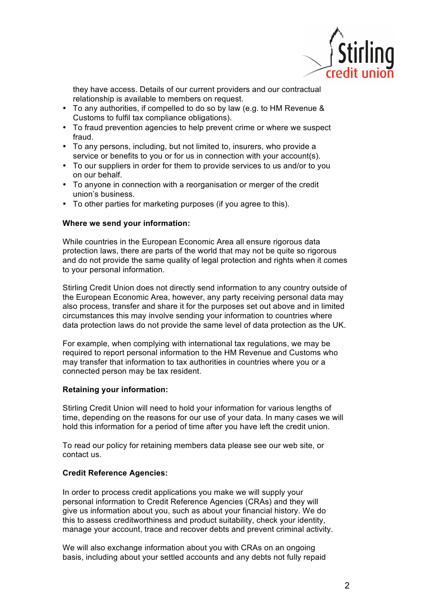

they have access. Details of our current providers and our contractual relationship is available to members on request.

- To any authorities, if compelled to do so by law (e.g. to HM Revenue & Customs to fulfil tax compliance obligations).
- To fraud prevention agencies to help prevent crime or where we suspect fraud.
- To any persons, including, but not limited to, insurers, who provide a service or benefits to you or for us in connection with your account(s).
- To our suppliers in order for them to provide services to us and/or to you on our behalf.
- To anyone in connection with a reorganisation or merger of the credit union's business.
- To other parties for marketing purposes (if you agree to this).

## **Where we send your information:**

While countries in the European Economic Area all ensure rigorous data protection laws, there are parts of the world that may not be quite so rigorous and do not provide the same quality of legal protection and rights when it comes to your personal information.

Stirling Credit Union does not directly send information to any country outside of the European Economic Area, however, any party receiving personal data may also process, transfer and share it for the purposes set out above and in limited circumstances this may involve sending your information to countries where data protection laws do not provide the same level of data protection as the UK.

For example, when complying with international tax regulations, we may be required to report personal information to the HM Revenue and Customs who may transfer that information to tax authorities in countries where you or a connected person may be tax resident.

#### **Retaining your information:**

Stirling Credit Union will need to hold your information for various lengths of time, depending on the reasons for our use of your data. In many cases we will hold this information for a period of time after you have left the credit union.

To read our policy for retaining members data please see our web site, or contact us.

## **Credit Reference Agencies:**

In order to process credit applications you make we will supply your personal information to Credit Reference Agencies (CRAs) and they will give us information about you, such as about your financial history. We do this to assess creditworthiness and product suitability, check your identity, manage your account, trace and recover debts and prevent criminal activity.

We will also exchange information about you with CRAs on an ongoing basis, including about your settled accounts and any debts not fully repaid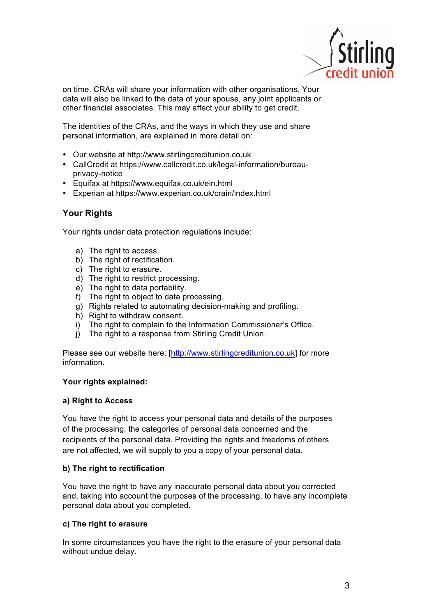

on time. CRAs will share your information with other organisations. Your data will also be linked to the data of your spouse, any joint applicants or other financial associates. This may affect your ability to get credit.

The identities of the CRAs, and the ways in which they use and share personal information, are explained in more detail on:

- Our website at http://www.stirlingcreditunion.co.uk
- CallCredit at https://www.callcredit.co.uk/legal-information/bureauprivacy-notice
- Equifax at https://www.equifax.co.uk/ein.html
- Experian at https://www.experian.co.uk/crain/index.html

# **Your Rights**

Your rights under data protection regulations include:

- a) The right to access.
- b) The right of rectification.
- c) The right to erasure.
- d) The right to restrict processing.
- e) The right to data portability.
- f) The right to object to data processing.
- g) Rights related to automating decision-making and profiling.
- h) Right to withdraw consent.
- i) The right to complain to the Information Commissioner's Office.
- j) The right to a response from Stirling Credit Union.

Please see our website here: [http://www.stirlingcreditunion.co.uk] for more information.

#### **Your rights explained:**

#### **a) Right to Access**

You have the right to access your personal data and details of the purposes of the processing, the categories of personal data concerned and the recipients of the personal data. Providing the rights and freedoms of others are not affected, we will supply to you a copy of your personal data.

#### **b) The right to rectification**

You have the right to have any inaccurate personal data about you corrected and, taking into account the purposes of the processing, to have any incomplete personal data about you completed.

#### **c) The right to erasure**

In some circumstances you have the right to the erasure of your personal data without undue delay.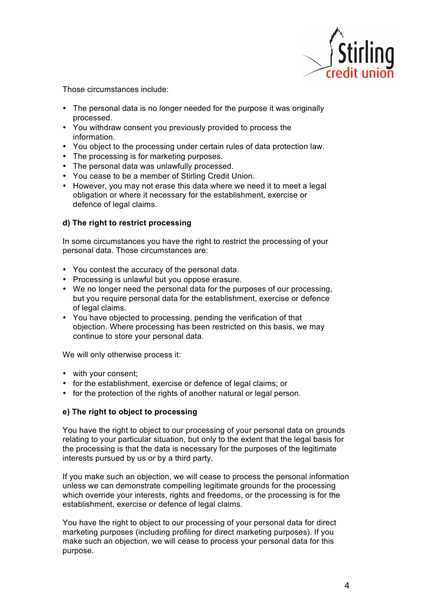

Those circumstances include:

- The personal data is no longer needed for the purpose it was originally processed.
- You withdraw consent you previously provided to process the information.
- You object to the processing under certain rules of data protection law.
- The processing is for marketing purposes.
- The personal data was unlawfully processed.
- You cease to be a member of Stirling Credit Union.
- However, you may not erase this data where we need it to meet a legal obligation or where it necessary for the establishment, exercise or defence of legal claims.

# **d) The right to restrict processing**

In some circumstances you have the right to restrict the processing of your personal data. Those circumstances are:

- You contest the accuracy of the personal data.
- Processing is unlawful but you oppose erasure.
- We no longer need the personal data for the purposes of our processing, but you require personal data for the establishment, exercise or defence of legal claims.
- You have objected to processing, pending the verification of that objection. Where processing has been restricted on this basis, we may continue to store your personal data.

We will only otherwise process it:

- with your consent;
- for the establishment, exercise or defence of legal claims; or
- for the protection of the rights of another natural or legal person.

# **e) The right to object to processing**

You have the right to object to our processing of your personal data on grounds relating to your particular situation, but only to the extent that the legal basis for the processing is that the data is necessary for the purposes of the legitimate interests pursued by us or by a third party.

If you make such an objection, we will cease to process the personal information unless we can demonstrate compelling legitimate grounds for the processing which override your interests, rights and freedoms, or the processing is for the establishment, exercise or defence of legal claims.

You have the right to object to our processing of your personal data for direct marketing purposes (including profiling for direct marketing purposes). If you make such an objection, we will cease to process your personal data for this purpose.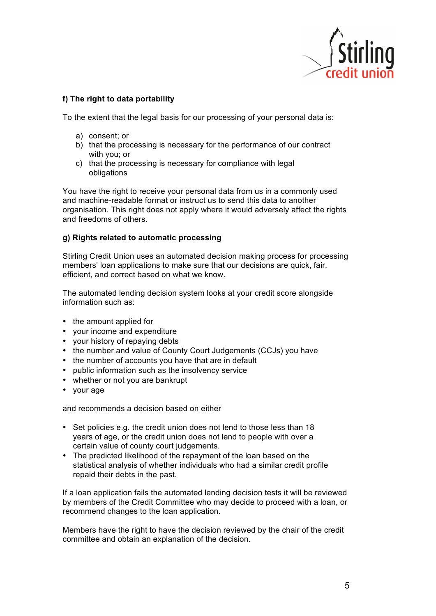

# **f) The right to data portability**

To the extent that the legal basis for our processing of your personal data is:

- a) consent; or
- b) that the processing is necessary for the performance of our contract with you; or
- c) that the processing is necessary for compliance with legal obligations

You have the right to receive your personal data from us in a commonly used and machine-readable format or instruct us to send this data to another organisation. This right does not apply where it would adversely affect the rights and freedoms of others.

# **g) Rights related to automatic processing**

Stirling Credit Union uses an automated decision making process for processing members' loan applications to make sure that our decisions are quick, fair, efficient, and correct based on what we know.

The automated lending decision system looks at your credit score alongside information such as:

- the amount applied for
- your income and expenditure
- your history of repaying debts
- the number and value of County Court Judgements (CCJs) you have
- the number of accounts you have that are in default
- public information such as the insolvency service
- whether or not you are bankrupt
- your age

and recommends a decision based on either

- Set policies e.g. the credit union does not lend to those less than 18 years of age, or the credit union does not lend to people with over a certain value of county court judgements.
- The predicted likelihood of the repayment of the loan based on the statistical analysis of whether individuals who had a similar credit profile repaid their debts in the past.

If a loan application fails the automated lending decision tests it will be reviewed by members of the Credit Committee who may decide to proceed with a loan, or recommend changes to the loan application.

Members have the right to have the decision reviewed by the chair of the credit committee and obtain an explanation of the decision.